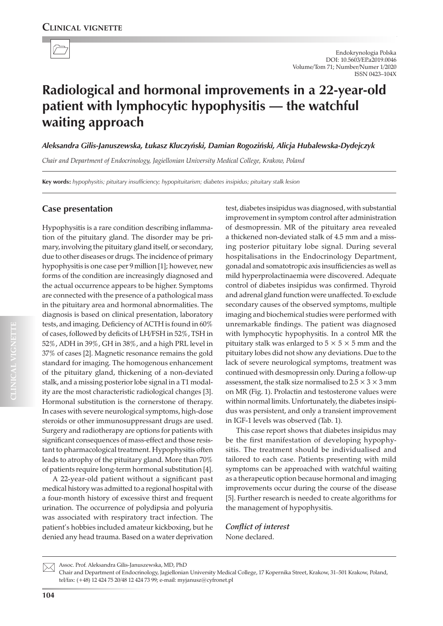

# **Radiological and hormonal improvements in a 22-year-old patient with lymphocytic hypophysitis — the watchful waiting approach**

*Aleksandra Gilis-Januszewska, Łukasz Kluczyński, Damian Rogoziński, Alicja Hubalewska-Dydejczyk*

*Chair and Department of Endocrinology, Jagiellonian University Medical College, Krakow, Poland*

**Key words:** *hypophysitis; pituitary insufficiency; hypopituitarism; diabetes insipidus; pituitary stalk lesion*

## **Case presentation**

Hypophysitis is a rare condition describing inflammation of the pituitary gland. The disorder may be primary, involving the pituitary gland itself, or secondary, due to other diseases or drugs. The incidence of primary hypophysitis is one case per 9 million [1]; however, new forms of the condition are increasingly diagnosed and the actual occurrence appears to be higher. Symptoms are connected with the presence of a pathological mass in the pituitary area and hormonal abnormalities. The diagnosis is based on clinical presentation, laboratory tests, and imaging. Deficiency of ACTH is found in 60% of cases, followed by deficits of LH/FSH in 52%, TSH in 52%, ADH in 39%, GH in 38%, and a high PRL level in 37% of cases [2]. Magnetic resonance remains the gold standard for imaging. The homogenous enhancement of the pituitary gland, thickening of a non-deviated stalk, and a missing posterior lobe signal in a T1 modality are the most characteristic radiological changes [3]. Hormonal substitution is the cornerstone of therapy. In cases with severe neurological symptoms, high-dose steroids or other immunosuppressant drugs are used. Surgery and radiotherapy are options for patients with significant consequences of mass-effect and those resistant to pharmacological treatment. Hypophysitis often leads to atrophy of the pituitary gland. More than 70% of patients require long-term hormonal substitution [4].

A 22-year-old patient without a significant past medical history was admitted to a regional hospital with a four-month history of excessive thirst and frequent urination. The occurrence of polydipsia and polyuria was associated with respiratory tract infection. The patient's hobbies included amateur kickboxing, but he denied any head trauma. Based on a water deprivation

test, diabetes insipidus was diagnosed, with substantial improvement in symptom control after administration of desmopressin. MR of the pituitary area revealed a thickened non-deviated stalk of 4.5 mm and a missing posterior pituitary lobe signal. During several hospitalisations in the Endocrinology Department, gonadal and somatotropic axis insufficiencies as well as mild hyperprolactinaemia were discovered. Adequate control of diabetes insipidus was confirmed. Thyroid and adrenal gland function were unaffected. To exclude secondary causes of the observed symptoms, multiple imaging and biochemical studies were performed with unremarkable findings. The patient was diagnosed with lymphocytic hypophysitis. In a control MR the pituitary stalk was enlarged to  $5 \times 5 \times 5$  mm and the pituitary lobes did not show any deviations. Due to the lack of severe neurological symptoms, treatment was continued with desmopressin only. During a follow-up assessment, the stalk size normalised to 2.5  $\times$  3  $\times$  3 mm on MR (Fig. 1). Prolactin and testosterone values were within normal limits. Unfortunately, the diabetes insipidus was persistent, and only a transient improvement in IGF-1 levels was observed (Tab. 1).

This case report shows that diabetes insipidus may be the first manifestation of developing hypophysitis. The treatment should be individualised and tailored to each case. Patients presenting with mild symptoms can be approached with watchful waiting as a therapeutic option because hormonal and imaging improvements occur during the course of the disease [5]. Further research is needed to create algorithms for the management of hypophysitis.

*Conflict of interest* None declared.

Assoc. Prof. Aleksandra Gilis-Januszewska, MD, PhD  $\boxtimes$ 

Chair and Department of Endocrinology, Jagiellonian University Medical College, 17 Kopernika Street, Krakow, 31–501 Krakow, Poland, tel/fax: (+48) 12 424 75 20/48 12 424 73 99; e-mail: myjanusz@cyfronet.pl